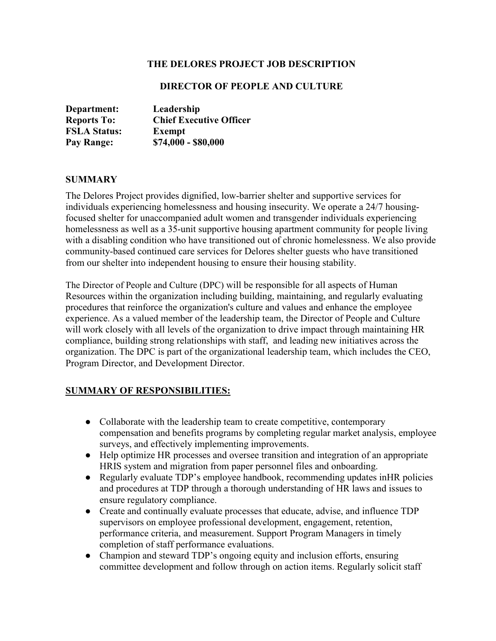#### **THE DELORES PROJECT JOB DESCRIPTION**

#### **DIRECTOR OF PEOPLE AND CULTURE**

| Department:         | Leadership                     |
|---------------------|--------------------------------|
| <b>Reports To:</b>  | <b>Chief Executive Officer</b> |
| <b>FSLA Status:</b> | <b>Exempt</b>                  |
| Pay Range:          | $$74,000 - $80,000$            |

#### **SUMMARY**

The Delores Project provides dignified, low-barrier shelter and supportive services for individuals experiencing homelessness and housing insecurity. We operate a 24/7 housingfocused shelter for unaccompanied adult women and transgender individuals experiencing homelessness as well as a 35-unit supportive housing apartment community for people living with a disabling condition who have transitioned out of chronic homelessness. We also provide community-based continued care services for Delores shelter guests who have transitioned from our shelter into independent housing to ensure their housing stability.

The Director of People and Culture (DPC) will be responsible for all aspects of Human Resources within the organization including building, maintaining, and regularly evaluating procedures that reinforce the organization's culture and values and enhance the employee experience. As a valued member of the leadership team, the Director of People and Culture will work closely with all levels of the organization to drive impact through maintaining HR compliance, building strong relationships with staff, and leading new initiatives across the organization. The DPC is part of the organizational leadership team, which includes the CEO, Program Director, and Development Director.

### **SUMMARY OF RESPONSIBILITIES:**

- Collaborate with the leadership team to create competitive, contemporary compensation and benefits programs by completing regular market analysis, employee surveys, and effectively implementing improvements.
- Help optimize HR processes and oversee transition and integration of an appropriate HRIS system and migration from paper personnel files and onboarding.
- Regularly evaluate TDP's employee handbook, recommending updates inHR policies and procedures at TDP through a thorough understanding of HR laws and issues to ensure regulatory compliance.
- Create and continually evaluate processes that educate, advise, and influence TDP supervisors on employee professional development, engagement, retention, performance criteria, and measurement. Support Program Managers in timely completion of staff performance evaluations.
- Champion and steward TDP's ongoing equity and inclusion efforts, ensuring committee development and follow through on action items. Regularly solicit staff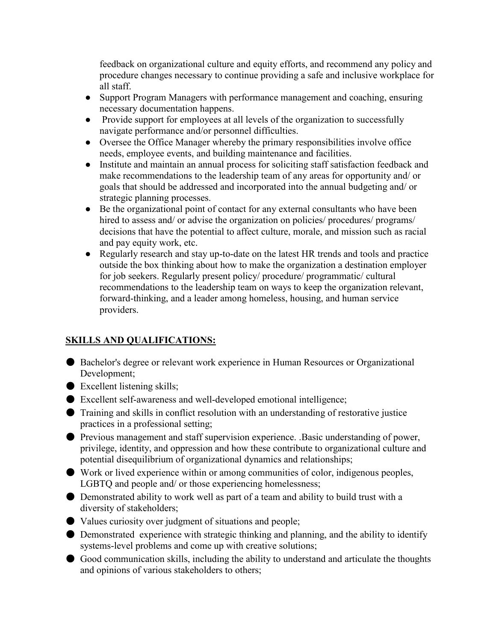feedback on organizational culture and equity efforts, and recommend any policy and procedure changes necessary to continue providing a safe and inclusive workplace for all staff.

- Support Program Managers with performance management and coaching, ensuring necessary documentation happens.
- Provide support for employees at all levels of the organization to successfully navigate performance and/or personnel difficulties.
- Oversee the Office Manager whereby the primary responsibilities involve office needs, employee events, and building maintenance and facilities.
- Institute and maintain an annual process for soliciting staff satisfaction feedback and make recommendations to the leadership team of any areas for opportunity and/ or goals that should be addressed and incorporated into the annual budgeting and/ or strategic planning processes.
- Be the organizational point of contact for any external consultants who have been hired to assess and/ or advise the organization on policies/ procedures/ programs/ decisions that have the potential to affect culture, morale, and mission such as racial and pay equity work, etc.
- Regularly research and stay up-to-date on the latest HR trends and tools and practice outside the box thinking about how to make the organization a destination employer for job seekers. Regularly present policy/ procedure/ programmatic/ cultural recommendations to the leadership team on ways to keep the organization relevant, forward-thinking, and a leader among homeless, housing, and human service providers.

# **SKILLS AND QUALIFICATIONS:**

- Bachelor's degree or relevant work experience in Human Resources or Organizational Development;
- Excellent listening skills;
- Excellent self-awareness and well-developed emotional intelligence;
- Training and skills in conflict resolution with an understanding of restorative justice practices in a professional setting;
- Previous management and staff supervision experience. .Basic understanding of power, privilege, identity, and oppression and how these contribute to organizational culture and potential disequilibrium of organizational dynamics and relationships;
- Work or lived experience within or among communities of color, indigenous peoples, LGBTQ and people and/ or those experiencing homelessness;
- Demonstrated ability to work well as part of a team and ability to build trust with a diversity of stakeholders;
- Values curiosity over judgment of situations and people;
- Demonstrated experience with strategic thinking and planning, and the ability to identify systems-level problems and come up with creative solutions;
- Good communication skills, including the ability to understand and articulate the thoughts and opinions of various stakeholders to others;